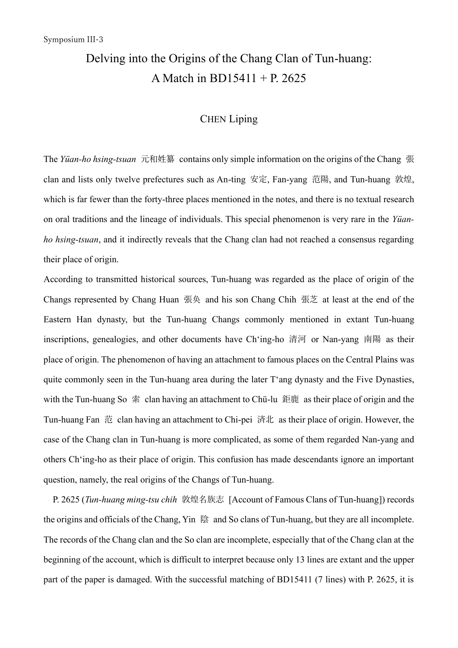## Delving into the Origins of the Chang Clan of Tun-huang: A Match in BD15411 + P. 2625

## CHEN Liping

The *Yüan-ho hsing-tsuan* 元和姓纂 contains only simple information on the origins of the Chang 張 clan and lists only twelve prefectures such as An-ting 安定, Fan-yang 范陽, and Tun-huang 敦煌, which is far fewer than the forty-three places mentioned in the notes, and there is no textual research on oral traditions and the lineage of individuals. This special phenomenon is very rare in the *Yüanho hsing-tsuan*, and it indirectly reveals that the Chang clan had not reached a consensus regarding their place of origin.

According to transmitted historical sources, Tun-huang was regarded as the place of origin of the Changs represented by Chang Huan 張奂 and his son Chang Chih 張芝 at least at the end of the Eastern Han dynasty, but the Tun-huang Changs commonly mentioned in extant Tun-huang inscriptions, genealogies, and other documents have Ch'ing-ho 清河 or Nan-yang 南陽 as their place of origin. The phenomenon of having an attachment to famous places on the Central Plains was quite commonly seen in the Tun-huang area during the later T'ang dynasty and the Five Dynasties, with the Tun-huang So  $\frac{1}{\mathcal{R}}$  clan having an attachment to Chü-lu 鉅鹿 as their place of origin and the Tun-huang Fan 范 clan having an attachment to Chi-pei 済北 as their place of origin. However, the case of the Chang clan in Tun-huang is more complicated, as some of them regarded Nan-yang and others Ch'ing-ho as their place of origin. This confusion has made descendants ignore an important question, namely, the real origins of the Changs of Tun-huang.

 P. 2625 (*Tun-huang ming-tsu chih* 敦煌名族志 [Account of Famous Clans of Tun-huang]) records the origins and officials of the Chang, Yin 陰 and So clans of Tun-huang, but they are all incomplete. The records of the Chang clan and the So clan are incomplete, especially that of the Chang clan at the beginning of the account, which is difficult to interpret because only 13 lines are extant and the upper part of the paper is damaged. With the successful matching of BD15411 (7 lines) with P. 2625, it is